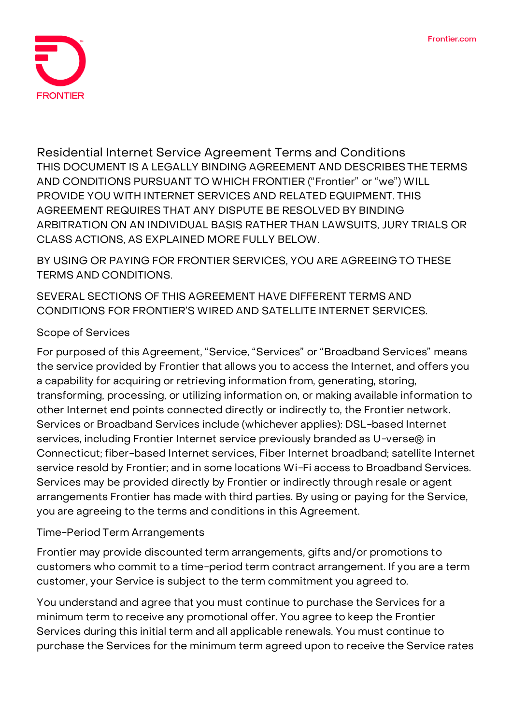

**Residential Internet Service Agreement Terms and Conditions** THIS DOCUMENT IS A LEGALLY BINDING AGREEMENT AND DESCRIBES THE TERMS AND CONDITIONS PURSUANT TO WHICH FRONTIER ("Frontier" or "we") WILL PROVIDE YOU WITH INTERNET SERVICES AND RELATED EQUIPMENT. **THIS AGREEMENT REQUIRES THAT ANY DISPUTE BE RESOLVED BY BINDING ARBITRATION ON AN INDIVIDUAL BASIS RATHER THAN LAWSUITS, JURY TRIALS OR CLASS ACTIONS, AS EXPLAINED MORE FULLY BELOW.**

**BY USING OR PAYING FOR FRONTIER SERVICES, YOU ARE AGREEING TO THESE TERMS AND CONDITIONS.**

SEVERAL SECTIONS OF THIS AGREEMENT HAVE DIFFERENT TERMS AND CONDITIONS FOR FRONTIER'S WIRED AND SATELLITE INTERNET SERVICES.

# **Scope of Services**

For purposed of this Agreement, "Service, "Services" or "Broadband Services" means the service provided by Frontier that allows you to access the Internet, and offers you a capability for acquiring or retrieving information from, generating, storing, transforming, processing, or utilizing information on, or making available information to other Internet end points connected directly or indirectly to, the Frontier network. Services or Broadband Services include (whichever applies): DSL-based Internet services, including Frontier Internet service previously branded as U-verse® in Connecticut; fiber-based Internet services, Fiber Internet broadband; satellite Internet service resold by Frontier; and in some locations Wi-Fi access to Broadband Services. Services may be provided directly by Frontier or indirectly through resale or agent arrangements Frontier has made with third parties. By using or paying for the Service, you are agreeing to the terms and conditions in this Agreement.

# **Time-Period Term Arrangements**

Frontier may provide discounted term arrangements, gifts and/or promotions to customers who commit to a time-period term contract arrangement. If you are a term customer, your Service is subject to the term commitment you agreed to.

You understand and agree that you must continue to purchase the Services for a minimum term to receive any promotional offer. You agree to keep the Frontier Services during this initial term and all applicable renewals. You must continue to purchase the Services for the minimum term agreed upon to receive the Service rates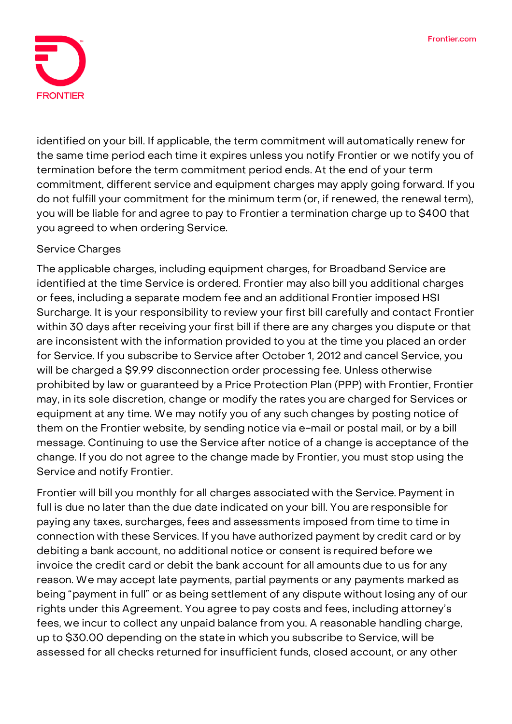

identified on your bill. If applicable, the term commitment will automatically renew for the same time period each time it expires unless you notify Frontier or we notify you of termination before the term commitment period ends. At the end of your term commitment, different service and equipment charges may apply going forward. If you do not fulfill your commitment for the minimum term (or, if renewed, the renewal term), you will be liable for and agree to pay to Frontier a termination charge up to \$400 that you agreed to when ordering Service.

# **Service Charges**

The applicable charges, including equipment charges, for Broadband Service are identified at the time Service is ordered. Frontier may also bill you additional charges or fees, including a separate modem fee and an additional Frontier imposed HSI Surcharge. It is your responsibility to review your first bill carefully and contact Frontier within 30 days after receiving your first bill if there are any charges you dispute or that are inconsistent with the information provided to you at the time you placed an order for Service. If you subscribe to Service after October 1, 2012 and cancel Service, you will be charged a \$9.99 disconnection order processing fee. Unless otherwise prohibited by law or guaranteed by a Price Protection Plan (PPP) with Frontier, Frontier may, in its sole discretion, change or modify the rates you are charged for Services or equipment at any time. We may notify you of any such changes by posting notice of them on the Frontier website, by sending notice via e-mail or postal mail, or by a bill message. Continuing to use the Service after notice of a change is acceptance of the change. If you do not agree to the change made by Frontier, you must stop using the Service and notify Frontier.

Frontier will bill you monthly for all charges associated with the Service. Payment in full is due no later than the due date indicated on your bill. You are responsible for paying any taxes, surcharges, fees and assessments imposed from time to time in connection with these Services. If you have authorized payment by credit card or by debiting a bank account, no additional notice or consent is required before we invoice the credit card or debit the bank account for all amounts due to us for any reason. We may accept late payments, partial payments or any payments marked as being "payment in full" or as being settlement of any dispute without losing any of our rights under this Agreement. You agree to pay costs and fees, including attorney's fees, we incur to collect any unpaid balance from you. A reasonable handling charge, up to \$30.00 depending on the statein which you subscribe to Service, will be assessed for all checks returned for insufficient funds, closed account, or any other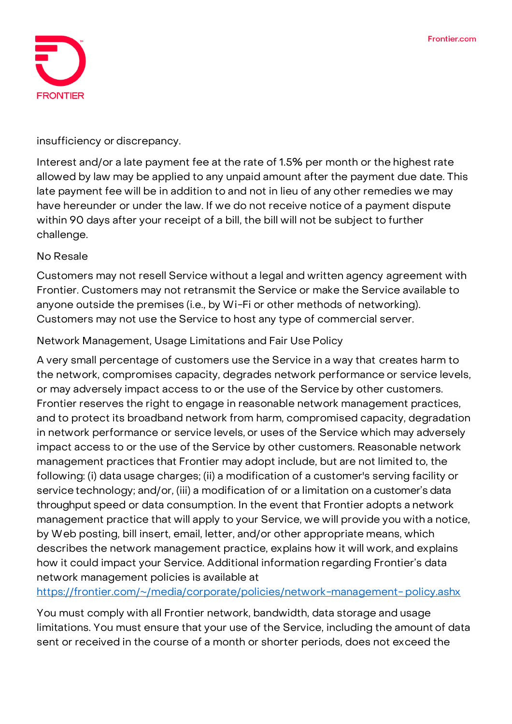

### insufficiency or discrepancy.

Interest and/or a late payment fee at the rate of 1.5% per month or the highest rate allowed by law may be applied to any unpaid amount after the payment due date. This late payment fee will be in addition to and not in lieu of any other remedies we may have hereunder or under the law. If we do not receive notice of a payment dispute within 90 days after your receipt of a bill, the bill will not be subject to further challenge.

### **No Resale**

Customers may not resell Service without a legal and written agency agreement with Frontier. Customers may not retransmit the Service or make the Service available to anyone outside the premises (i.e., by Wi-Fi or other methods of networking). Customers may not use the Service to host any type of commercial server.

### **Network Management, Usage Limitations and Fair Use Policy**

A very small percentage of customers use the Service in a way that creates harm to the network, compromises capacity, degrades network performance or service levels, or may adversely impact access to or the use of the Service by other customers. Frontier reserves the right to engage in reasonable network management practices, and to protect its broadband network from harm, compromised capacity, degradation in network performance or service levels, or uses of the Service which may adversely impact access to or the use of the Service by other customers. Reasonable network management practices that Frontier may adopt include, but are not limited to, the following: (i) data usage charges; (ii) a modification of a customer's serving facility or service technology; and/or, (iii) a modification of or a limitation on a customer's data throughput speed or data consumption. In the event that Frontier adopts a network management practice that will apply to your Service, we will provide you with a notice, by Web posting, bill insert, email, letter, and/or other appropriate means, which describes the network management practice, explains how it will work, and explains how it could impact your Service. Additional information regarding Frontier's data network management policies is available at

[https://frontier.com/~/media/corporate/policies/network-management-](https://frontier.com/~/media/corporate/policies/network-management-policy.ashx?la=en) [policy.ashx](https://frontier.com/~/media/corporate/policies/network-management-policy.ashx?la=en)

You must comply with all Frontier network, bandwidth, data storage and usage limitations. You must ensure that your use of the Service, including the amount of data sent or received in the course of a month or shorter periods, does not exceed the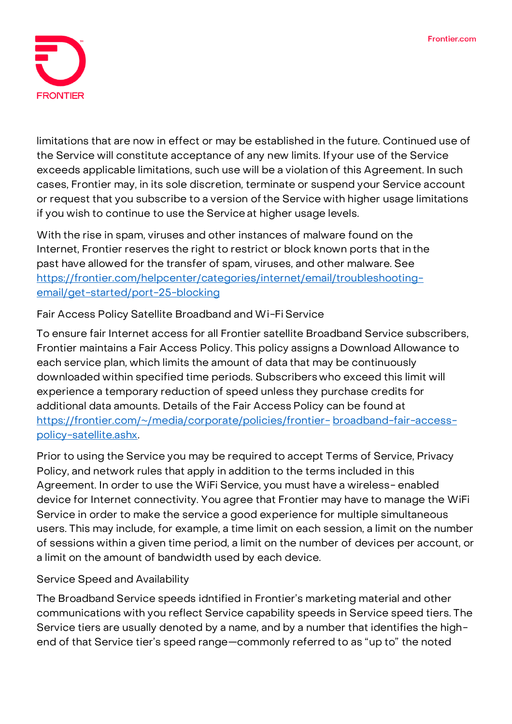

limitations that are now in effect or may be established in the future. Continued use of the Service will constitute acceptance of any new limits. If your use of the Service exceeds applicable limitations, such use will be a violation of this Agreement. In such cases, Frontier may, in its sole discretion, terminate or suspend your Service account or request that you subscribe to a version ofthe Service with higher usage limitations if you wish to continue to use the Service at higher usage levels.

With the rise in spam, viruses and other instances of malware found on the Internet, Frontier reserves the right to restrict or block known ports that in the past have allowed for the transfer of spam, viruses, and other malware. See [https://frontier.com/helpcenter/categories/internet/email/troubleshooting](https://frontier.com/helpcenter/categories/internet/email/troubleshooting-email/get-started/port-25-blocking)[email/get-started/port-25-blocking](https://frontier.com/helpcenter/categories/internet/email/troubleshooting-email/get-started/port-25-blocking)

# **Fair Access Policy Satellite Broadband and Wi-Fi Service**

To ensure fair Internet access for all Frontier satellite Broadband Service subscribers, Frontier maintains a Fair Access Policy. This policy assigns a Download Allowance to each service plan, which limits the amount of data that may be continuously downloaded within specified time periods. Subscribers who exceed this limit will experience a temporary reduction of speed unless they purchase credits for additional data amounts. Details of the Fair Access Policy can be found at [https://frontier.com/~/media/corporate/policies/frontier-](https://frontier.com/~/media/corporate/policies/frontier-broadband-fair-access-policy-satellite.ashx?la=en) [broadband-fair-access](https://frontier.com/~/media/corporate/policies/frontier-broadband-fair-access-policy-satellite.ashx?la=en)[policy-satellite.ashx.](https://frontier.com/~/media/corporate/policies/frontier-broadband-fair-access-policy-satellite.ashx?la=en)

Prior to using the Service you may be required to accept Terms of Service, Privacy Policy, and network rules that apply in addition to the terms included in this Agreement. In order to use the WiFi Service, you must have a wireless- enabled device for Internet connectivity. You agree that Frontier may have to manage the WiFi Service in order to make the service a good experience for multiple simultaneous users. This may include, for example, a time limit on each session, a limit on the number of sessions within a given time period, a limit on the number of devices per account, or a limit on the amount of bandwidth used by each device.

# **Service Speed and Availability**

The Broadband Service speeds idntified in Frontier's marketing material and other communications with you reflect Service capability speeds in Service speed tiers. The Service tiers are usually denoted by a name, and by a number that identifies the highend of that Service tier's speed range—commonly referred to as "up to" the noted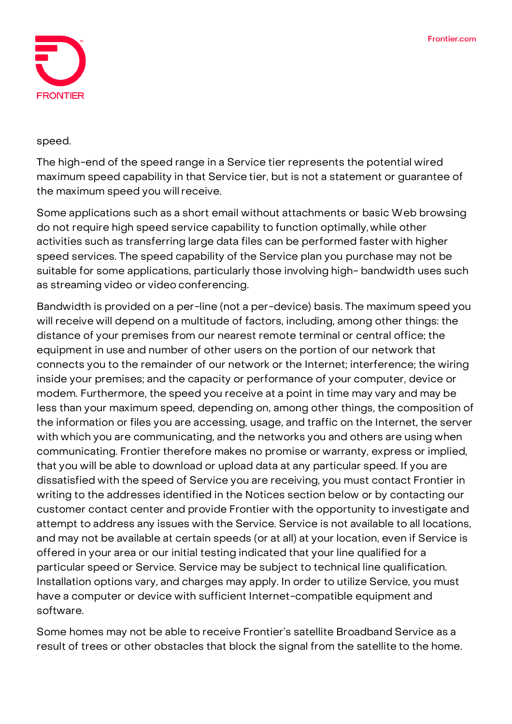

#### speed.

**The high-end of the speed range in a Service tier represents the potential wired maximum speed capability in that Service tier, but is not a statement or guarantee of the maximum speed you willreceive.**

Some applications such as a short email without attachments or basic Web browsing do not require high speed service capability to function optimally,while other activities such as transferring large data files can be performed faster with higher speed services. The speed capability of the Service plan you purchase may not be suitable for some applications, particularly those involving high- bandwidth uses such as streaming video or video conferencing.

Bandwidth is provided on a per-line (not a per-device) basis. The maximum speed you will receive will depend on a multitude of factors, including, among other things: the distance of your premises from our nearest remote terminal or central office; the equipment in use and number of other users on the portion of our network that connects you to the remainder of our network or the Internet; interference; the wiring inside your premises; and the capacity or performance of your computer, device or modem. Furthermore, the speed you receive at a point in time may vary and may be less than your maximum speed, depending on, among other things, the composition of the information or files you are accessing, usage, and traffic on the Internet, the server with which you are communicating, and the networks you and others are using when communicating. Frontier therefore makes no promise or warranty, express or implied, that you will be able to download or upload data at any particular speed. If you are dissatisfied with the speed of Service you are receiving, you must contact Frontier in writing to the addresses identified in the Notices section below or by contacting our customer contact center and provide Frontier with the opportunity to investigate and attempt to address any issues with the Service. Service is not available to all locations, and may not be available at certain speeds (or at all) at your location, even if Service is offered in your area or our initial testing indicated that your line qualified for a particular speed or Service. Service may be subject to technical line qualification. Installation options vary, and charges may apply. In order to utilize Service, you must have a computer or device with sufficient Internet-compatible equipment and software.

Some homes may not be able to receive Frontier's satellite Broadband Service as a result of trees or other obstacles that block the signal from the satellite to the home.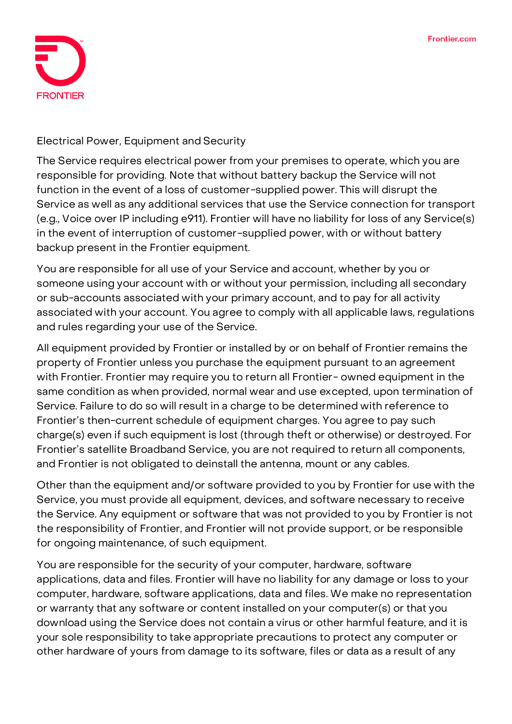

### **Electrical Power, Equipment and Security**

The Service requires electrical power from your premises to operate, which you are responsible for providing. Note that without battery backup the Service will not function in the event of a loss of customer-supplied power. This will disrupt the Service as well as any additional services that use the Service connection for transport (e.g., Voice over IP including e911). Frontier will have no liability for loss of any Service(s) in the event of interruption of customer-supplied power, with or without battery backup present in the Frontier equipment.

You are responsible for all use of your Service and account, whether by you or someone using your account with or without your permission, including all secondary or sub-accounts associated with your primary account, and to pay for all activity associated with your account. You agree to comply with all applicable laws, regulations and rules regarding your use of the Service.

All equipment provided by Frontier or installed by or on behalf of Frontier remains the property of Frontier unless you purchase the equipment pursuant to an agreement with Frontier. Frontier may require you to return all Frontier- owned equipment in the same condition as when provided, normal wear and use excepted, upon termination of Service. Failure to do so will result in a charge to be determined with reference to Frontier's then-current schedule of equipment charges. You agree to pay such charge(s) even if such equipment is lost (through theft or otherwise) or destroyed. For Frontier's satellite Broadband Service, you are not required to return all components, and Frontier is not obligated to deinstall the antenna, mount or any cables.

Other than the equipment and/or software provided to you by Frontier for use with the Service, you must provide all equipment, devices, and software necessary to receive the Service. Any equipment or software that was not provided to you by Frontier is not the responsibility of Frontier, and Frontier will not provide support, or be responsible for ongoing maintenance, of such equipment.

You are responsible for the security of your computer, hardware, software applications, data and files. Frontier will have no liability for any damage or loss to your computer, hardware, software applications, data and files. We make no representation or warranty that any software or content installed on your computer(s) or that you download using the Service does not contain a virus or other harmful feature, and it is your sole responsibility to take appropriate precautions to protect any computer or other hardware of yours from damage to its software, files or data as a result of any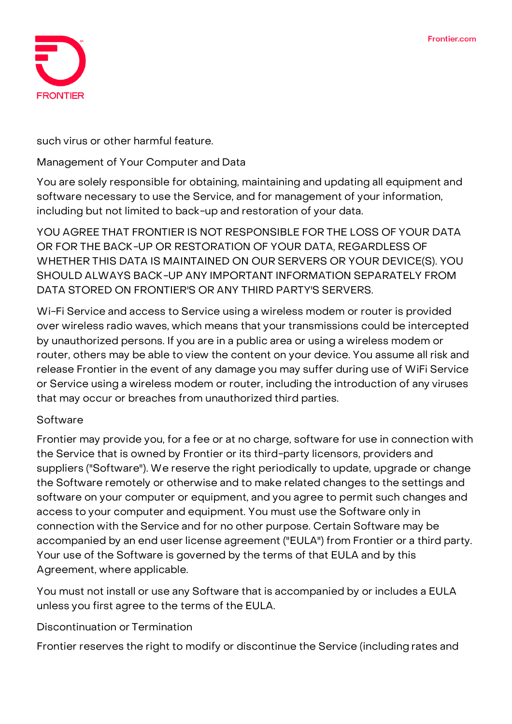

### such virus or other harmful feature.

### **Management of Your Computer and Data**

You are solely responsible for obtaining, maintaining and updating all equipment and software necessary to use the Service, and for management of your information, including but not limited to back-up and restoration of your data.

**YOU AGREE THAT FRONTIER IS NOT RESPONSIBLE FOR THE LOSS OF YOUR DATA OR FOR THE BACK-UP OR RESTORATION OF YOUR DATA, REGARDLESS OF WHETHER THIS DATA IS MAINTAINED ON OUR SERVERS OR YOUR DEVICE(S). YOU SHOULD ALWAYS BACK-UP ANY IMPORTANT INFORMATION SEPARATELY FROM DATA STORED ON FRONTIER'S OR ANY THIRD PARTY'S SERVERS.**

Wi-Fi Service and access to Service using a wireless modem or router is provided over wireless radio waves, which means that your transmissions could be intercepted by unauthorized persons. If you are in a public area or using a wireless modem or router, others may be able to view the content on your device. You assume all risk and release Frontier in the event of any damage you may suffer during use of WiFi Service or Service using a wireless modem or router, including the introduction of any viruses that may occur or breaches from unauthorized third parties.

### **Software**

Frontier may provide you, for a fee or at no charge, software for use in connection with the Service that is owned by Frontier or its third-party licensors, providers and suppliers ("Software"). We reserve the right periodically to update, upgrade or change the Software remotely or otherwise and to make related changes to the settings and software on your computer or equipment, and you agree to permit such changes and access to your computer and equipment. You must use the Software only in connection with the Service and for no other purpose. Certain Software may be accompanied by an end user license agreement ("EULA") from Frontier or a third party. Your use of the Software is governed by the terms of that EULA and by this Agreement, where applicable.

You must not install or use any Software that is accompanied by or includes a EULA unless you first agree to the terms of the EULA.

# **Discontinuation or Termination**

Frontier reserves the right to modify or discontinue the Service (including rates and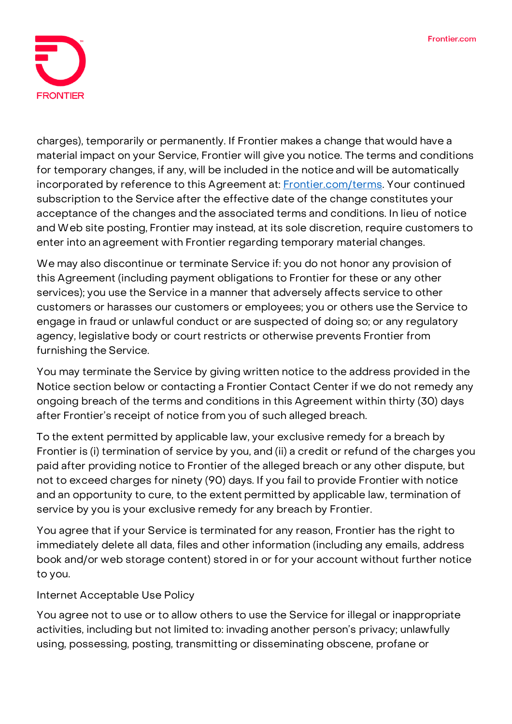

charges), temporarily or permanently. If Frontier makes a change that would have a material impact on your Service, Frontier will give you notice. The terms and conditions for temporary changes, if any, will be included in the notice and will be automatically incorporated by reference to this Agreement at: **Frontier.com/terms**. Your continued subscription to the Service after the effective date of the change constitutes your acceptance of the changes and the associated terms and conditions. In lieu of notice and Web site posting, Frontier may instead, at its sole discretion, require customers to enter into an agreement with Frontier regarding temporary material changes.

We may also discontinue or terminate Service if: you do not honor any provision of this Agreement (including payment obligations to Frontier for these or any other services); you use the Service in a manner that adversely affects service to other customers or harasses our customers or employees; you or others use the Service to engage in fraud or unlawful conduct or are suspected of doing so; or any regulatory agency, legislative body or court restricts or otherwise prevents Frontier from furnishing the Service.

You may terminate the Service by giving written notice to the address provided in the Notice section below or contacting a Frontier Contact Center if we do not remedy any ongoing breach of the terms and conditions in this Agreement within thirty (30) days after Frontier's receipt of notice from you of such alleged breach.

**To the extent permitted by applicable law, your exclusive remedy for a breach by Frontier is (i) termination of service by you, and (ii) a credit or refund of the charges you paid after providing notice to Frontier of the alleged breach or any other dispute, but not to exceed charges for ninety (90) days. If you fail to provide Frontier with notice and an opportunity to cure, to the extent permitted by applicable law, termination of service by you is your exclusive remedy for any breach by Frontier.**

You agree that if your Service is terminated for any reason, Frontier has the right to immediately delete all data, files and other information (including any emails, address book and/or web storage content) stored in or for your account without further notice to you.

# **Internet Acceptable Use Policy**

You agree not to use or to allow others to use the Service for illegal or inappropriate activities, including but not limited to: invading another person's privacy; unlawfully using, possessing, posting, transmitting or disseminating obscene, profane or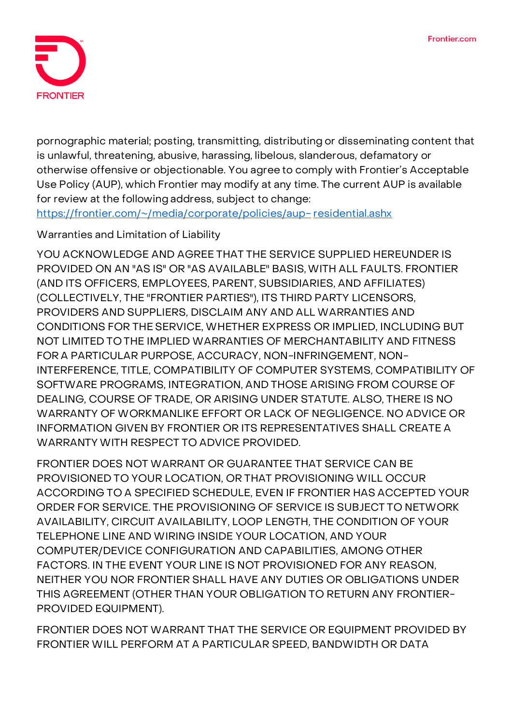

pornographic material; posting, transmitting, distributing or disseminating content that is unlawful, threatening, abusive, harassing, libelous, slanderous, defamatory or otherwise offensive or objectionable. You agree to comply with Frontier's Acceptable Use Policy (AUP), which Frontier may modify at any time. The current AUP is available for review at the following address, subject to change:

[https://frontier.com/~/media/corporate/policies/aup-](https://frontier.com/~/media/corporate/policies/aup-residential.ashx?la=en) [residential.ashx](https://frontier.com/~/media/corporate/policies/aup-residential.ashx?la=en)

# **Warranties and Limitation of Liability**

**YOU ACKNOWLEDGE AND AGREE THAT THE SERVICE SUPPLIED HEREUNDER IS PROVIDED ON AN "AS IS" OR "AS AVAILABLE" BASIS,WITH ALL FAULTS. FRONTIER (AND ITS OFFICERS, EMPLOYEES, PARENT, SUBSIDIARIES, AND AFFILIATES) (COLLECTIVELY, THE "FRONTIER PARTIES"), ITS THIRD PARTY LICENSORS, PROVIDERS AND SUPPLIERS, DISCLAIM ANY AND ALL WARRANTIES AND CONDITIONS FOR THE SERVICE, WHETHER EXPRESS OR IMPLIED, INCLUDING BUT NOT LIMITED TO THE IMPLIED WARRANTIES OF MERCHANTABILITY AND FITNESS FOR A PARTICULAR PURPOSE, ACCURACY, NON-INFRINGEMENT, NON-INTERFERENCE, TITLE, COMPATIBILITY OF COMPUTER SYSTEMS, COMPATIBILITY OF SOFTWARE PROGRAMS, INTEGRATION, AND THOSE ARISING FROM COURSE OF DEALING, COURSE OF TRADE, OR ARISING UNDER STATUTE. ALSO, THERE IS NO WARRANTY OF WORKMANLIKE EFFORT OR LACK OF NEGLIGENCE. NO ADVICE OR INFORMATION GIVEN BY FRONTIER OR ITS REPRESENTATIVES SHALL CREATE A WARRANTYWITH RESPECT TO ADVICE PROVIDED.**

**FRONTIER DOES NOT WARRANT OR GUARANTEE THAT SERVICE CAN BE PROVISIONED TO YOUR LOCATION, OR THAT PROVISIONING WILL OCCUR ACCORDING TO A SPECIFIED SCHEDULE, EVEN IF FRONTIER HAS ACCEPTED YOUR ORDER FOR SERVICE. THE PROVISIONING OF SERVICE IS SUBJECT TO NETWORK AVAILABILITY, CIRCUIT AVAILABILITY, LOOP LENGTH, THE CONDITION OF YOUR TELEPHONE LINE AND WIRING INSIDE YOUR LOCATION, AND YOUR COMPUTER/DEVICE CONFIGURATION AND CAPABILITIES, AMONG OTHER FACTORS. IN THE EVENT YOUR LINE IS NOT PROVISIONED FOR ANY REASON, NEITHER YOU NOR FRONTIER SHALL HAVE ANY DUTIES OR OBLIGATIONS UNDER THIS AGREEMENT (OTHER THAN YOUR OBLIGATION TO RETURN ANY FRONTIER-PROVIDED EQUIPMENT).**

**FRONTIER DOES NOT WARRANT THAT THE SERVICE OR EQUIPMENT PROVIDED BY FRONTIER WILL PERFORM AT A PARTICULAR SPEED, BANDWIDTH OR DATA**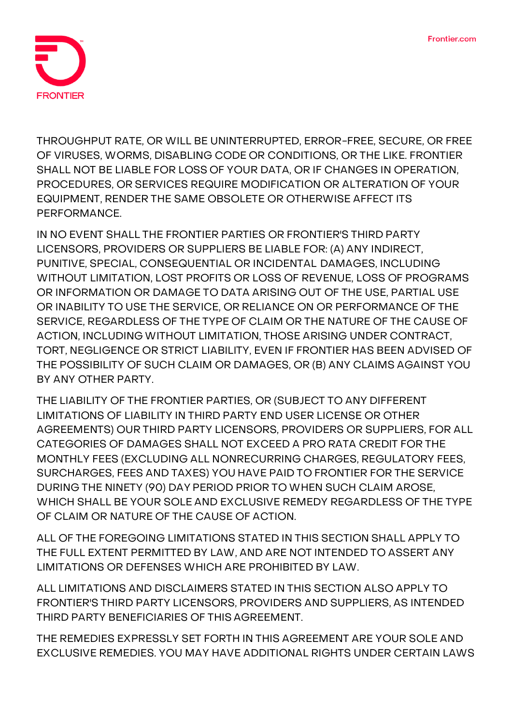

**THROUGHPUT RATE, OR WILL BE UNINTERRUPTED, ERROR-FREE, SECURE, OR FREE OF VIRUSES, WORMS, DISABLING CODE OR CONDITIONS, OR THE LIKE. FRONTIER SHALL NOT BE LIABLE FOR LOSS OF YOUR DATA, OR IF CHANGES IN OPERATION, PROCEDURES, OR SERVICES REQUIRE MODIFICATION OR ALTERATION OF YOUR EQUIPMENT, RENDER THE SAME OBSOLETE OR OTHERWISE AFFECT ITS PERFORMANCE.**

**IN NO EVENT SHALL THE FRONTIER PARTIES OR FRONTIER'S THIRD PARTY LICENSORS, PROVIDERS OR SUPPLIERS BE LIABLE FOR: (A) ANY INDIRECT, PUNITIVE, SPECIAL, CONSEQUENTIAL OR INCIDENTAL DAMAGES, INCLUDING WITHOUT LIMITATION, LOST PROFITS OR LOSS OF REVENUE, LOSS OF PROGRAMS OR INFORMATION OR DAMAGE TO DATA ARISING OUT OF THE USE, PARTIAL USE OR INABILITY TO USE THE SERVICE, OR RELIANCE ON OR PERFORMANCE OF THE SERVICE, REGARDLESS OF THE TYPE OF CLAIM OR THE NATURE OF THE CAUSE OF ACTION, INCLUDING WITHOUT LIMITATION, THOSE ARISING UNDER CONTRACT, TORT, NEGLIGENCE OR STRICT LIABILITY, EVEN IF FRONTIER HAS BEEN ADVISED OF THE POSSIBILITY OF SUCH CLAIM OR DAMAGES, OR (B) ANY CLAIMS AGAINST YOU BY ANY OTHER PARTY.**

**THE LIABILITY OF THE FRONTIER PARTIES, OR (SUBJECT TO ANY DIFFERENT LIMITATIONS OF LIABILITY IN THIRD PARTY END USER LICENSE OR OTHER AGREEMENTS) OUR THIRD PARTY LICENSORS, PROVIDERS OR SUPPLIERS, FOR ALL CATEGORIES OF DAMAGES SHALL NOT EXCEED A PRO RATA CREDIT FOR THE MONTHLY FEES (EXCLUDING ALL NONRECURRING CHARGES, REGULATORY FEES, SURCHARGES, FEES AND TAXES) YOU HAVE PAID TO FRONTIER FOR THE SERVICE DURING THE NINETY (90) DAY PERIOD PRIOR TO WHEN SUCH CLAIM AROSE, WHICH SHALL BE YOUR SOLE AND EXCLUSIVE REMEDY REGARDLESS OF THE TYPE OF CLAIM OR NATURE OF THE CAUSE OF ACTION.**

**ALL OF THE FOREGOING LIMITATIONS STATED IN THIS SECTION SHALL APPLY TO THE FULL EXTENT PERMITTED BY LAW, AND ARE NOT INTENDED TO ASSERT ANY LIMITATIONS OR DEFENSES WHICH ARE PROHIBITED BY LAW.**

**ALL LIMITATIONS AND DISCLAIMERS STATED IN THIS SECTION ALSO APPLY TO FRONTIER'S THIRD PARTY LICENSORS, PROVIDERS AND SUPPLIERS, AS INTENDED THIRD PARTY BENEFICIARIES OF THIS AGREEMENT.**

**THE REMEDIES EXPRESSLY SET FORTH IN THIS AGREEMENT ARE YOUR SOLE AND EXCLUSIVE REMEDIES. YOU MAY HAVE ADDITIONAL RIGHTS UNDER CERTAIN LAWS**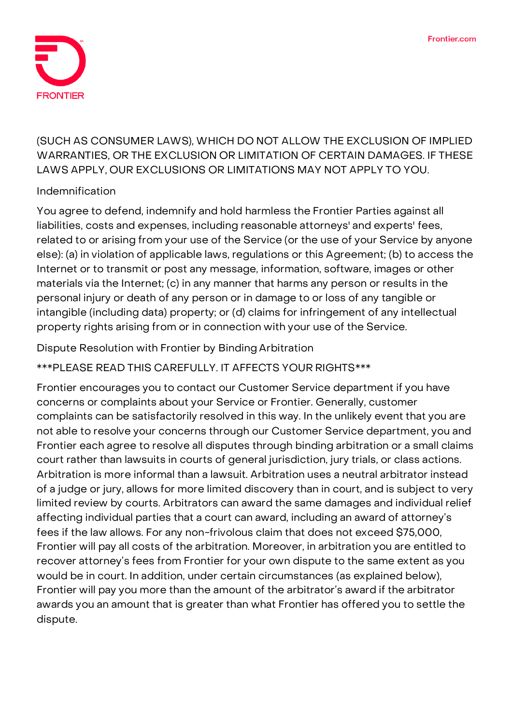

**(SUCH AS CONSUMER LAWS), WHICH DO NOT ALLOW THE EXCLUSION OF IMPLIED WARRANTIES, OR THE EXCLUSION OR LIMITATION OF CERTAIN DAMAGES. IF THESE LAWS APPLY, OUR EXCLUSIONS OR LIMITATIONS MAY NOT APPLY TO YOU.**

### **Indemnification**

You agree to defend, indemnify and hold harmless the Frontier Parties against all liabilities, costs and expenses, including reasonable attorneys' and experts' fees, related to or arising from your use of the Service (or the use of your Service by anyone else): (a) in violation of applicable laws, regulations or this Agreement; (b) to access the Internet or to transmit or post any message, information, software, images or other materials via the Internet; (c) in any manner that harms any person or results in the personal injury or death of any person or in damage to or loss of any tangible or intangible (including data) property; or (d) claims for infringement of any intellectual property rights arising from or in connection with your use of the Service.

**Dispute Resolution with Frontier by Binding Arbitration**

**\*\*\*PLEASE READ THIS CAREFULLY. IT AFFECTS YOUR RIGHTS\*\*\***

Frontier encourages you to contact our Customer Service department if you have concerns or complaints about your Service or Frontier. Generally, customer complaints can be satisfactorily resolved in this way. In the unlikely event that you are not able to resolve your concerns through our Customer Service department, you and Frontier each agree to resolve all disputes through binding arbitration or a small claims court rather than lawsuits in courts of general jurisdiction, jury trials, or class actions. Arbitration is more informal than a lawsuit. Arbitration uses a neutral arbitrator instead of a judge or jury, allows for more limited discovery than in court, and is subject to very limited review by courts. Arbitrators can award the same damages and individual relief affecting individual parties that a court can award, including an award of attorney's fees if the law allows. For any non-frivolous claim that does not exceed \$75,000, Frontier will pay all costs of the arbitration. Moreover, in arbitration you are entitled to recover attorney's fees from Frontier for your own dispute to the same extent as you would be in court. In addition, under certain circumstances (as explained below), Frontier will pay you more than the amount of the arbitrator's award if the arbitrator awards you an amount that is greater than what Frontier has offered you to settle the dispute.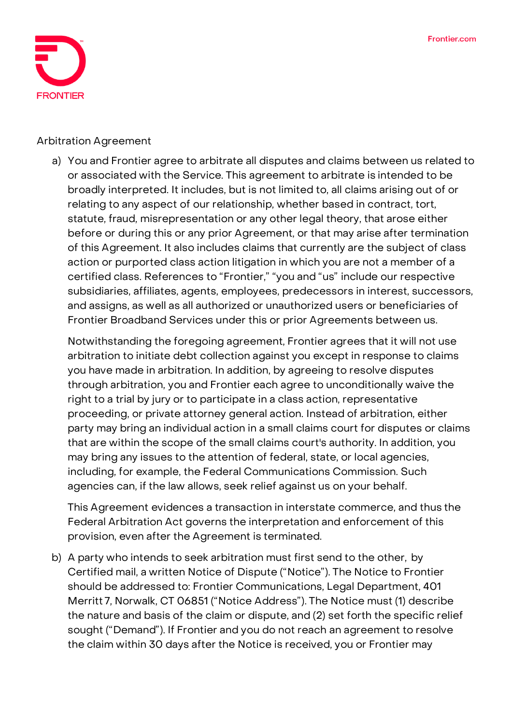

#### **Arbitration Agreement**

a) You and Frontier agree to arbitrate **all disputes and claims** between us related to or associated with the Service. This agreement to arbitrate is intended to be broadly interpreted. It includes, but is not limited to, all claims arising out of or relating to any aspect of our relationship, whether based in contract, tort, statute, fraud, misrepresentation or any other legal theory, that arose either before or during this or any prior Agreement, or that may arise after termination of this Agreement. It also includes claims that currently are the subject of class action or purported class action litigation in which you are not a member of a certified class. References to "Frontier," "you and "us" include our respective subsidiaries, affiliates, agents, employees, predecessors in interest, successors, and assigns, as well as all authorized or unauthorized users or beneficiaries of Frontier Broadband Services under this or prior Agreements between us.

Notwithstanding the foregoing agreement, Frontier agrees that it will not use arbitration to initiate debt collection against you except in response to claims you have made in arbitration. In addition, by agreeing to resolve disputes through arbitration, **you and Frontier each agree to unconditionally waive the right to a trial by jury or to participate in a class action, representative proceeding, or private attorney general action.** Instead of arbitration, either party may bring an individual action in a small claims court for disputes or claims that are within the scope of the small claims court's authority. In addition, you may bring any issues to the attention of federal, state, or local agencies, including, for example, the Federal Communications Commission. Such agencies can, if the law allows, seek relief against us on your behalf.

This Agreement evidences a transaction in interstate commerce, and thus the Federal Arbitration Act governs the interpretation and enforcement of this provision, even after the Agreement is terminated.

b) A party who intends to seek arbitration must first send to the other, by Certified mail, a written Notice of Dispute ("Notice"). The Notice to Frontier should be addressed to: Frontier Communications, Legal Department, 401 Merritt 7, Norwalk, CT 06851 ("Notice Address"). The Notice must (1) describe the nature and basis of the claim or dispute, and (2) set forth the specific relief sought ("Demand"). If Frontier and you do not reach an agreement to resolve the claim within 30 days after the Notice is received, you or Frontier may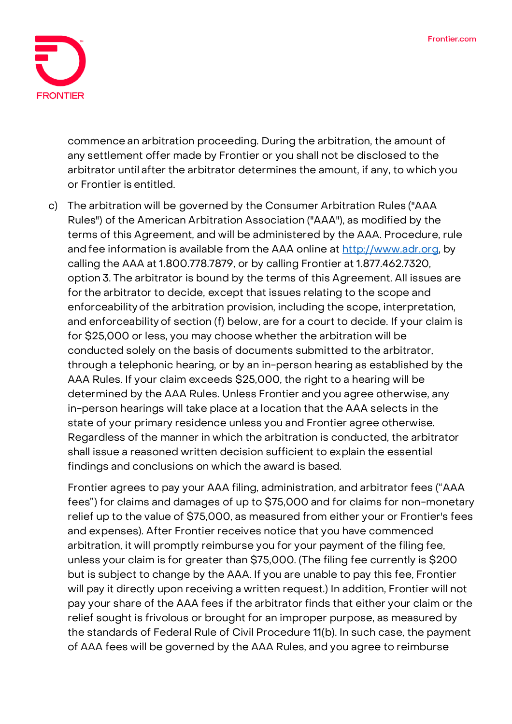

commence an arbitration proceeding. During the arbitration, the amount of any settlement offer made by Frontier or you shall not be disclosed to the arbitrator until after the arbitrator determines the amount, if any, to which you or Frontier is entitled.

c) The arbitration will be governed by the Consumer Arbitration Rules ("AAA Rules") of the American Arbitration Association ("AAA"), as modified by the terms of this Agreement, and will be administered by the AAA. Procedure, rule and fee information is available from the AAA online at [http://www.adr.org,](http://www.adr.org/) by calling the AAA at 1.800.778.7879, or by calling Frontier at 1.877.462.7320, option 3. The arbitrator is bound by the terms of this Agreement. All issues are for the arbitrator to decide, except that issues relating to the scope and enforceability of the arbitration provision, including the scope, interpretation, and enforceability of section (f) below, are for a court to decide. If your claim is for \$25,000 or less, you may choose whether the arbitration will be conducted solely on the basis of documents submitted to the arbitrator, through a telephonic hearing, or by an in-person hearing as established by the AAA Rules. If your claim exceeds \$25,000, the right to a hearing will be determined by the AAA Rules. Unless Frontier and you agree otherwise, any in-person hearings will take place at a location that the AAA selects in the state of your primary residence unless you and Frontier agree otherwise. Regardless of the manner in which the arbitration is conducted, the arbitrator shall issue a reasoned written decision sufficient to explain the essential findings and conclusions on which the award is based.

Frontier agrees to pay your AAA filing, administration, and arbitrator fees ("AAA fees") for claims and damages of up to \$75,000 and for claims for non-monetary relief up to the value of \$75,000, as measured from either your or Frontier's fees and expenses). After Frontier receives notice that you have commenced arbitration, it will promptly reimburse you for your payment of the filing fee, unless your claim is for greater than \$75,000. (The filing fee currently is \$200 but is subject to change by the AAA. If you are unable to pay this fee, Frontier will pay it directly upon receiving a written request.) In addition, Frontier will not pay your share of the AAA fees if the arbitrator finds that either your claim or the relief sought is frivolous or brought for an improper purpose, as measured by the standards of Federal Rule of Civil Procedure 11(b). In such case, the payment of AAA fees will be governed by the AAA Rules, and you agree to reimburse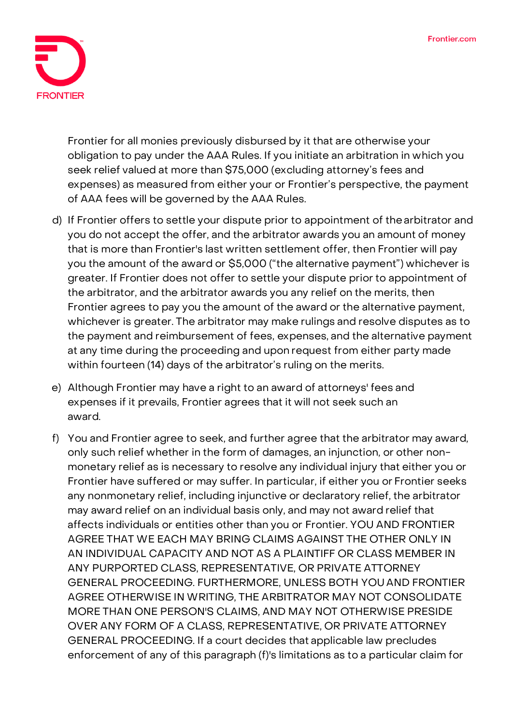

Frontier for all monies previously disbursed by it that are otherwise your obligation to pay under the AAA Rules. If you initiate an arbitration in which you seek relief valued at more than \$75,000 (excluding attorney's fees and expenses) as measured from either your or Frontier's perspective, the payment of AAA fees will be governed by the AAA Rules.

- d) If Frontier offers to settle your dispute prior to appointment of thearbitrator and you do not accept the offer, and the arbitrator awards you an amount of money that is more than Frontier's last written settlement offer, then Frontier will pay you the amount of the award or \$5,000 ("the alternative payment") whichever is greater. If Frontier does not offer to settle your dispute prior to appointment of the arbitrator, and the arbitrator awards you any relief on the merits, then Frontier agrees to pay you the amount of the award or the alternative payment, whichever is greater. The arbitrator may make rulings and resolve disputes as to the payment and reimbursement of fees, expenses, and the alternative payment at any time during the proceeding and upon request from either party made within fourteen (14) days of the arbitrator's ruling on the merits.
- e) Although Frontier may have a right to an award of attorneys' fees and expenses if it prevails, Frontier agrees that it will not seek such an award.
- f) You and Frontier agree to seek, and further agree that the arbitrator may award, only such relief whether in the form of damages, an injunction, or other nonmonetary relief as is necessary to resolve any individual injury that either you or Frontier have suffered or may suffer. In particular, if either you or Frontier seeks any nonmonetary relief, including injunctive or declaratory relief, the arbitrator may award relief on an individual basis only, and may not award relief that affects individuals or entities other than you or Frontier. YOU AND FRONTIER AGREE THAT WE EACH MAY BRING CLAIMS AGAINST THE OTHER ONLY IN AN INDIVIDUAL CAPACITY AND NOT AS A PLAINTIFF OR CLASS MEMBER IN ANY PURPORTED CLASS, REPRESENTATIVE, OR PRIVATE ATTORNEY GENERAL PROCEEDING. FURTHERMORE, UNLESS BOTH YOUAND FRONTIER AGREE OTHERWISE IN WRITING, THE ARBITRATOR MAY NOT CONSOLIDATE MORE THAN ONE PERSON'S CLAIMS, AND MAY NOT OTHERWISE PRESIDE OVER ANY FORM OF A CLASS, REPRESENTATIVE, OR PRIVATE ATTORNEY GENERAL PROCEEDING. If a court decides that applicable law precludes enforcement of any of this paragraph (f)'s limitations as to a particular claim for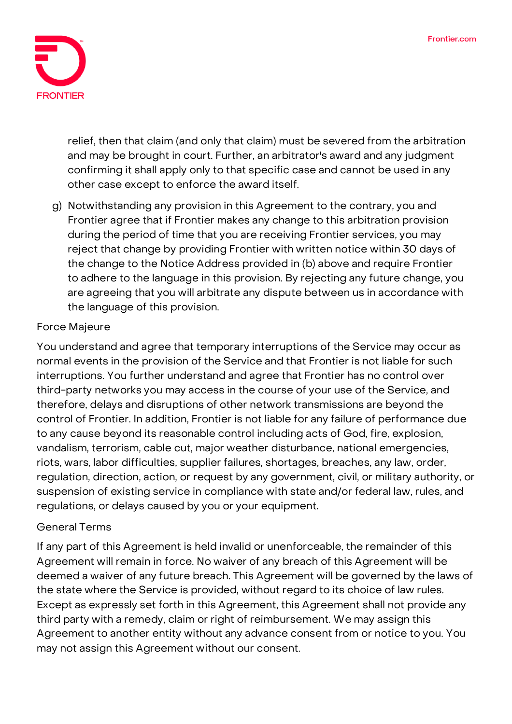

relief, then that claim (and only that claim) must be severed from the arbitration and may be brought in court. Further, an arbitrator's award and any judgment confirming it shall apply only to that specific case and cannot be used in any other case except to enforce the award itself.

g) Notwithstanding any provision in this Agreement to the contrary, you and Frontier agree that if Frontier makes any change to this arbitration provision during the period of time that you are receiving Frontier services, you may reject that change by providing Frontier with written notice within 30 days of the change to the Notice Address provided in (b) above and require Frontier to adhere to the language in this provision. By rejecting any future change, you are agreeing that you will arbitrate any dispute between us in accordance with the language of this provision.

# **Force Majeure**

You understand and agree that temporary interruptions of the Service may occur as normal events in the provision of the Service and that Frontier is not liable for such interruptions. You further understand and agree that Frontier has no control over third-party networks you may access in the course of your use of the Service, and therefore, delays and disruptions of other network transmissions are beyond the control of Frontier. In addition, Frontier is not liable for any failure of performance due to any cause beyond its reasonable control including acts of God, fire, explosion, vandalism, terrorism, cable cut, major weather disturbance, national emergencies, riots, wars, labor difficulties, supplier failures, shortages, breaches, any law, order, regulation, direction, action, or request by any government, civil, or military authority, or suspension of existing service in compliance with state and/or federal law, rules, and regulations, or delays caused by you or your equipment.

# **General Terms**

If any part of this Agreement is held invalid or unenforceable, the remainder of this Agreement will remain in force. No waiver of any breach of this Agreement will be deemed a waiver of any future breach. This Agreement will be governed by the laws of the state where the Service is provided, without regard to its choice of law rules. Except as expressly set forth in this Agreement, this Agreement shall not provide any third party with a remedy, claim or right of reimbursement. We may assign this Agreement to another entity without any advance consent from or notice to you. You may not assign this Agreement without our consent.